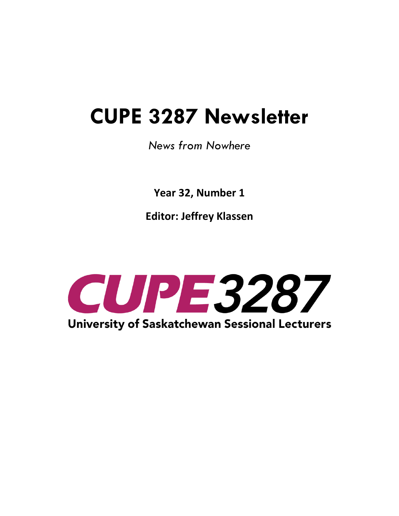# **CUPE 3287 Newsletter**

# *News from Nowhere*

**Year 32, Number 1**

**Editor: Jeffrey Klassen**

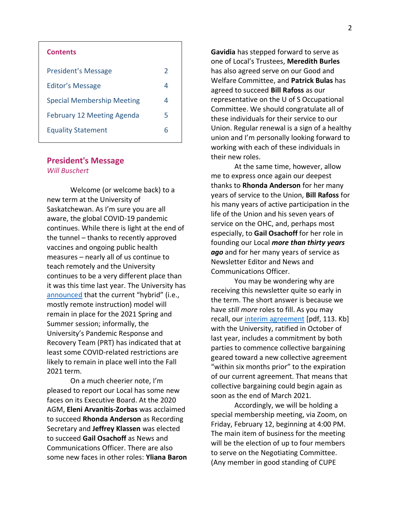| <b>Contents</b>                   |   |
|-----------------------------------|---|
| President's Message               | 2 |
| Editor's Message                  | 4 |
| <b>Special Membership Meeting</b> | 4 |
| <b>February 12 Meeting Agenda</b> | 5 |
| <b>Equality Statement</b>         | 6 |

#### **President's Message** *Will Buschert*

Welcome (or welcome back) to a new term at the University of Saskatchewan. As I'm sure you are all aware, the global COVID-19 pandemic continues. While there is light at the end of the tunnel – thanks to recently approved vaccines and ongoing public health measures – nearly all of us continue to teach remotely and the University continues to be a very different place than it was this time last year. The University has [announced](https://covid19.usask.ca/index.php) that the current "hybrid" (i.e., mostly remote instruction) model will remain in place for the 2021 Spring and Summer session; informally, the University's Pandemic Response and Recovery Team (PRT) has indicated that at least some COVID-related restrictions are likely to remain in place well into the Fall 2021 term.

On a much cheerier note, I'm pleased to report our Local has some new faces on its Executive Board. At the 2020 AGM, **Eleni Arvanitis-Zorbas** was acclaimed to succeed **Rhonda Anderson** as Recording Secretary and **Jeffrey Klassen** was elected to succeed **Gail Osachoff** as News and Communications Officer. There are also some new faces in other roles: **Yliana Baron**  **Gavidia** has stepped forward to serve as one of Local's Trustees, **Meredith Burles** has also agreed serve on our Good and Welfare Committee, and **Patrick Bulas** has agreed to succeed **Bill Rafoss** as our representative on the U of S Occupational Committee. We should congratulate all of these individuals for their service to our Union. Regular renewal is a sign of a healthy union and I'm personally looking forward to working with each of these individuals in their new roles.

At the same time, however, allow me to express once again our deepest thanks to **Rhonda Anderson** for her many years of service to the Union, **Bill Rafoss** for his many years of active participation in the life of the Union and his seven years of service on the OHC, and, perhaps most especially, to **Gail Osachoff** for her role in founding our Local *more than thirty years ago* and for her many years of service as Newsletter Editor and News and Communications Officer.

You may be wondering why are receiving this newsletter quite so early in the term. The short answer is because we have *still more* roles to fill. As you may recall, our [interim agreement](https://3287.cupe.ca/files/2020/09/CUPE-3287_USask-_Tentative-Agreement_Signatures-_August_25_2020.pdf) [pdf, 113. Kb] with the University, ratified in October of last year, includes a commitment by both parties to commence collective bargaining geared toward a new collective agreement "within six months prior" to the expiration of our current agreement. That means that collective bargaining could begin again as soon as the end of March 2021.

Accordingly, we will be holding a special membership meeting, via Zoom, on Friday, February 12, beginning at 4:00 PM. The main item of business for the meeting will be the election of up to four members to serve on the Negotiating Committee. (Any member in good standing of CUPE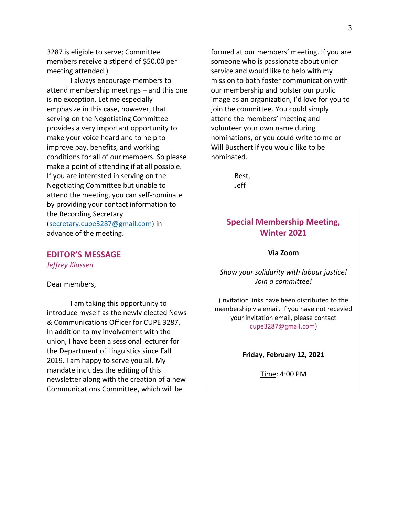3287 is eligible to serve; Committee members receive a stipend of \$50.00 per meeting attended.)

I always encourage members to attend membership meetings – and this one is no exception. Let me especially emphasize in this case, however, that serving on the Negotiating Committee provides a very important opportunity to make your voice heard and to help to improve pay, benefits, and working conditions for all of our members. So please make a point of attending if at all possible. If you are interested in serving on the Negotiating Committee but unable to attend the meeting, you can self-nominate by providing your contact information to the Recording Secretary [\(secretary.cupe3287@gmail.com\)](mailto:secretary.cupe3287@gmail.com) in advance of the meeting.

**EDITOR'S MESSAGE** *Jeffrey Klassen*

Dear members,

I am taking this opportunity to introduce myself as the newly elected News & Communications Officer for CUPE 3287. In addition to my involvement with the union, I have been a sessional lecturer for the Department of Linguistics since Fall 2019. I am happy to serve you all. My mandate includes the editing of this newsletter along with the creation of a new Communications Committee, which will be

formed at our members' meeting. If you are someone who is passionate about union service and would like to help with my mission to both foster communication with our membership and bolster our public image as an organization, I'd love for you to join the committee. You could simply attend the members' meeting and volunteer your own name during nominations, or you could write to me or Will Buschert if you would like to be nominated.

> Best, Jeff

## **Special Membership Meeting, Winter 2021**

#### **Via Zoom**

*Show your solidarity with labour justice! Join a committee!*

(Invitation links have been distributed to the membership via email. If you have not recevied your invitation email, please contact cupe3287@gmail.com)

**Friday, February 12, 2021**

Time: 4:00 PM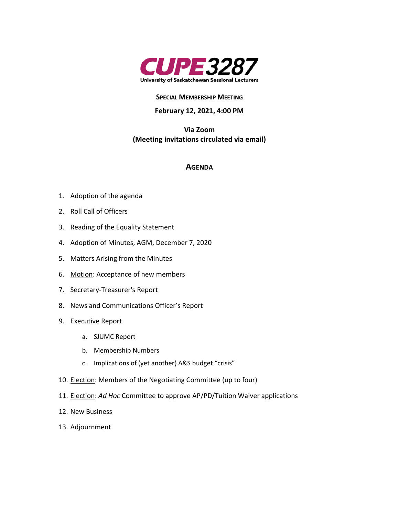

#### **SPECIAL MEMBERSHIP MEETING**

#### **February 12, 2021, 4:00 PM**

**Via Zoom (Meeting invitations circulated via email)**

#### **AGENDA**

- 1. Adoption of the agenda
- 2. Roll Call of Officers
- 3. Reading of the Equality Statement
- 4. Adoption of Minutes, AGM, December 7, 2020
- 5. Matters Arising from the Minutes
- 6. Motion: Acceptance of new members
- 7. Secretary-Treasurer's Report
- 8. News and Communications Officer's Report
- 9. Executive Report
	- a. SJUMC Report
	- b. Membership Numbers
	- c. Implications of (yet another) A&S budget "crisis"
- 10. Election: Members of the Negotiating Committee (up to four)
- 11. Election: *Ad Hoc* Committee to approve AP/PD/Tuition Waiver applications
- 12. New Business
- 13. Adjournment